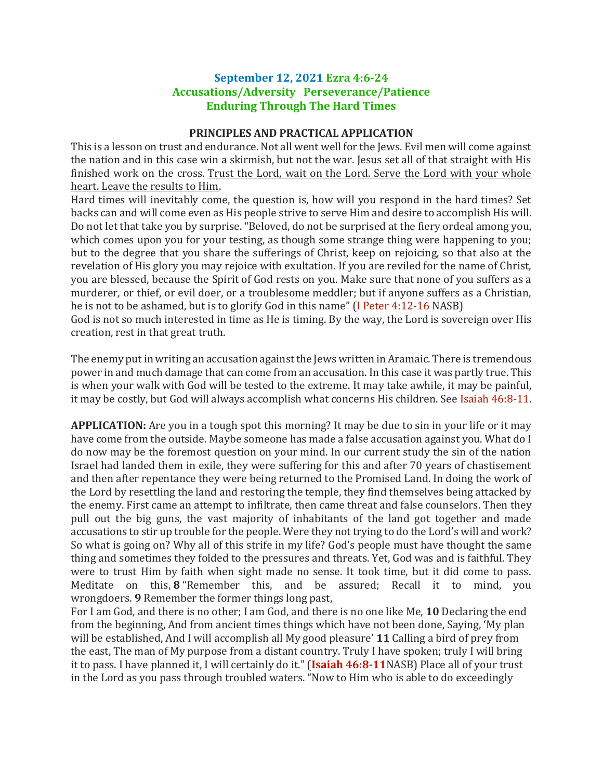## **September 12, 2021 Ezra 4:6-24 Accusations/Adversity Perseverance/Patience Enduring Through The Hard Times**

## **PRINCIPLES AND PRACTICAL APPLICATION**

This is a lesson on trust and endurance. Not all went well for the Jews. Evil men will come against the nation and in this case win a skirmish, but not the war. Jesus set all of that straight with His finished work on the cross. Trust the Lord, wait on the Lord. Serve the Lord with your whole heart. Leave the results to Him.

Hard times will inevitably come, the question is, how will you respond in the hard times? Set backs can and will come even as His people strive to serve Him and desire to accomplish His will. Do not let that take you by surprise. "Beloved, do not be surprised at the fiery ordeal among you, which comes upon you for your testing, as though some strange thing were happening to you; but to the degree that you share the sufferings of Christ, keep on rejoicing, so that also at the revelation of His glory you may rejoice with exultation. If you are reviled for the name of Christ, you are blessed, because the Spirit of God rests on you. Make sure that none of you suffers as a murderer, or thief, or evil doer, or a troublesome meddler; but if anyone suffers as a Christian, he is not to be ashamed, but is to glorify God in this name" (I Peter 4:12-16 NASB)

God is not so much interested in time as He is timing. By the way, the Lord is sovereign over His creation, rest in that great truth.

The enemy put in writing an accusation against the Jews written in Aramaic. There is tremendous power in and much damage that can come from an accusation. In this case it was partly true. This is when your walk with God will be tested to the extreme. It may take awhile, it may be painful, it may be costly, but God will always accomplish what concerns His children. See Isaiah 46:8-11.

**APPLICATION:** Are you in a tough spot this morning? It may be due to sin in your life or it may have come from the outside. Maybe someone has made a false accusation against you. What do I do now may be the foremost question on your mind. In our current study the sin of the nation Israel had landed them in exile, they were suffering for this and after 70 years of chastisement and then after repentance they were being returned to the Promised Land. In doing the work of the Lord by resettling the land and restoring the temple, they find themselves being attacked by the enemy. First came an attempt to infiltrate, then came threat and false counselors. Then they pull out the big guns, the vast majority of inhabitants of the land got together and made accusations to stir up trouble for the people. Were they not trying to do the Lord's will and work? So what is going on? Why all of this strife in my life? God's people must have thought the same thing and sometimes they folded to the pressures and threats. Yet, God was and is faithful. They were to trust Him by faith when sight made no sense. It took time, but it did come to pass. Meditate on this, **8** "Remember this, and be assured; Recall it to mind, you wrongdoers. **9** Remember the former things long past,

For I am God, and there is no other; I am God, and there is no one like Me, **10** Declaring the end from the beginning, And from ancient times things which have not been done, Saying, 'My plan will be established, And I will accomplish all My good pleasure' **11** Calling a bird of prey from the east, The man of My purpose from a distant country. Truly I have spoken; truly I will bring it to pass. I have planned it, I will certainly do it." (**Isaiah 46:8-11**NASB) Place all of your trust in the Lord as you pass through troubled waters. "Now to Him who is able to do exceedingly